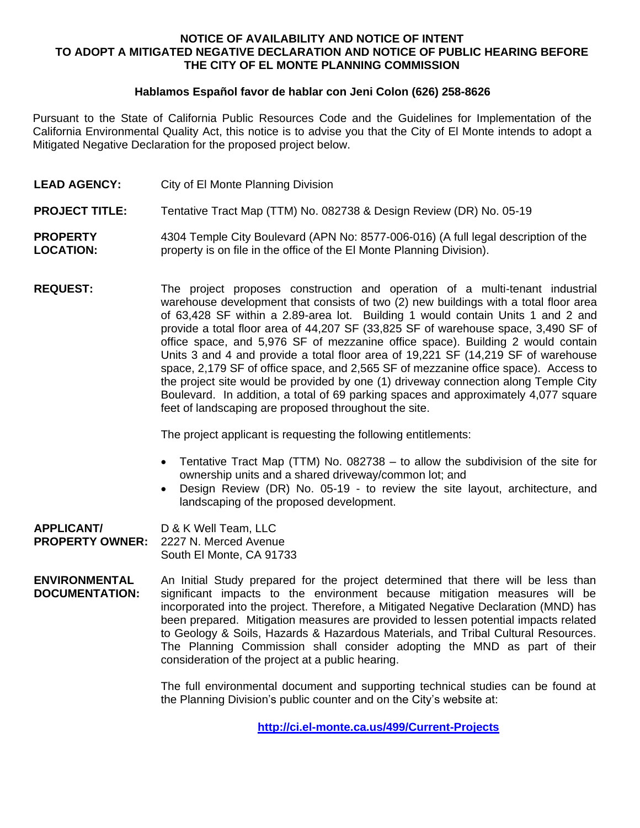## **NOTICE OF AVAILABILITY AND NOTICE OF INTENT TO ADOPT A MITIGATED NEGATIVE DECLARATION AND NOTICE OF PUBLIC HEARING BEFORE THE CITY OF EL MONTE PLANNING COMMISSION**

## **Hablamos Español favor de hablar con Jeni Colon (626) 258-8626**

Pursuant to the State of California Public Resources Code and the Guidelines for Implementation of the California Environmental Quality Act, this notice is to advise you that the City of El Monte intends to adopt a Mitigated Negative Declaration for the proposed project below.

- **LEAD AGENCY:** City of El Monte Planning Division
- **PROJECT TITLE:** Tentative Tract Map (TTM) No. 082738 & Design Review (DR) No. 05-19

**PROPERTY LOCATION:** 4304 Temple City Boulevard (APN No: 8577-006-016) (A full legal description of the property is on file in the office of the El Monte Planning Division).

**REQUEST:** The project proposes construction and operation of a multi-tenant industrial warehouse development that consists of two (2) new buildings with a total floor area of 63,428 SF within a 2.89-area lot. Building 1 would contain Units 1 and 2 and provide a total floor area of 44,207 SF (33,825 SF of warehouse space, 3,490 SF of office space, and 5,976 SF of mezzanine office space). Building 2 would contain Units 3 and 4 and provide a total floor area of 19,221 SF (14,219 SF of warehouse space, 2,179 SF of office space, and 2,565 SF of mezzanine office space). Access to the project site would be provided by one (1) driveway connection along Temple City Boulevard. In addition, a total of 69 parking spaces and approximately 4,077 square feet of landscaping are proposed throughout the site.

The project applicant is requesting the following entitlements:

- Tentative Tract Map (TTM) No. 082738 to allow the subdivision of the site for ownership units and a shared driveway/common lot; and
- Design Review (DR) No. 05-19 to review the site layout, architecture, and landscaping of the proposed development.

**APPLICANT/ PROPERTY OWNER:** D & K Well Team, LLC 2227 N. Merced Avenue South El Monte, CA 91733

**ENVIRONMENTAL DOCUMENTATION:** An Initial Study prepared for the project determined that there will be less than significant impacts to the environment because mitigation measures will be incorporated into the project. Therefore, a Mitigated Negative Declaration (MND) has been prepared. Mitigation measures are provided to lessen potential impacts related to Geology & Soils, Hazards & Hazardous Materials, and Tribal Cultural Resources. The Planning Commission shall consider adopting the MND as part of their consideration of the project at a public hearing.

> The full environmental document and supporting technical studies can be found at the Planning Division's public counter and on the City's website at:

> > **<http://ci.el-monte.ca.us/499/Current-Projects>**